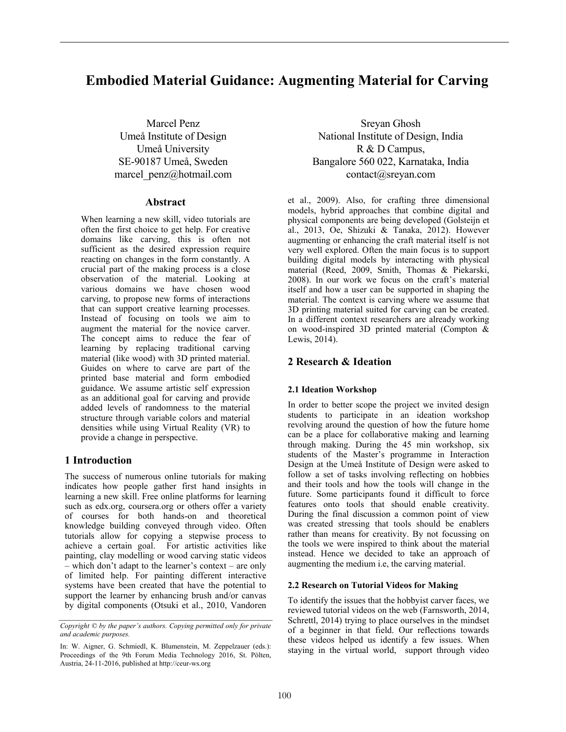# **Embodied Material Guidance: Augmenting Material for Carving**

Marcel Penz Umeå Institute of Design Umeå University SE-90187 Umeå, Sweden marcel\_penz@hotmail.com

### **Abstract**

When learning a new skill, video tutorials are often the first choice to get help. For creative domains like carving, this is often not sufficient as the desired expression require reacting on changes in the form constantly. A crucial part of the making process is a close observation of the material. Looking at various domains we have chosen wood carving, to propose new forms of interactions that can support creative learning processes. Instead of focusing on tools we aim to augment the material for the novice carver. The concept aims to reduce the fear of learning by replacing traditional carving material (like wood) with 3D printed material. Guides on where to carve are part of the printed base material and form embodied guidance. We assume artistic self expression as an additional goal for carving and provide added levels of randomness to the material structure through variable colors and material densities while using Virtual Reality (VR) to provide a change in perspective.

## **1 Introduction**

The success of numerous online tutorials for making indicates how people gather first hand insights in learning a new skill. Free online platforms for learning such as edx.org, coursera.org or others offer a variety of courses for both hands-on and theoretical knowledge building conveyed through video. Often tutorials allow for copying a stepwise process to achieve a certain goal. For artistic activities like painting, clay modelling or wood carving static videos – which don't adapt to the learner's context – are only of limited help. For painting different interactive systems have been created that have the potential to support the learner by enhancing brush and/or canvas by digital components (Otsuki et al., 2010, Vandoren

Sreyan Ghosh National Institute of Design, India R & D Campus, Bangalore 560 022, Karnataka, India contact@sreyan.com

et al., 2009). Also, for crafting three dimensional models, hybrid approaches that combine digital and physical components are being developed (Golsteijn et al., 2013, Oe, Shizuki & Tanaka, 2012). However augmenting or enhancing the craft material itself is not very well explored. Often the main focus is to support building digital models by interacting with physical material (Reed, 2009, Smith, Thomas & Piekarski, 2008). In our work we focus on the craft's material itself and how a user can be supported in shaping the material. The context is carving where we assume that 3D printing material suited for carving can be created. In a different context researchers are already working on wood-inspired 3D printed material (Compton & Lewis, 2014).

## **2 Research & Ideation**

#### **2.1 Ideation Workshop**

In order to better scope the project we invited design students to participate in an ideation workshop revolving around the question of how the future home can be a place for collaborative making and learning through making. During the 45 min workshop, six students of the Master's programme in Interaction Design at the Umeå Institute of Design were asked to follow a set of tasks involving reflecting on hobbies and their tools and how the tools will change in the future. Some participants found it difficult to force features onto tools that should enable creativity. During the final discussion a common point of view was created stressing that tools should be enablers rather than means for creativity. By not focussing on the tools we were inspired to think about the material instead. Hence we decided to take an approach of augmenting the medium i.e, the carving material.

#### **2.2 Research on Tutorial Videos for Making**

To identify the issues that the hobbyist carver faces, we reviewed tutorial videos on the web (Farnsworth, 2014, Schrettl, 2014) trying to place ourselves in the mindset of a beginner in that field. Our reflections towards these videos helped us identify a few issues. When staying in the virtual world, support through video

*Copyright © by the paper's authors. Copying permitted only for private and academic purposes.*

In: W. Aigner, G. Schmiedl, K. Blumenstein, M. Zeppelzauer (eds.): Proceedings of the 9th Forum Media Technology 2016, St. Pölten, Austria, 24-11-2016, published at http://ceur-ws.org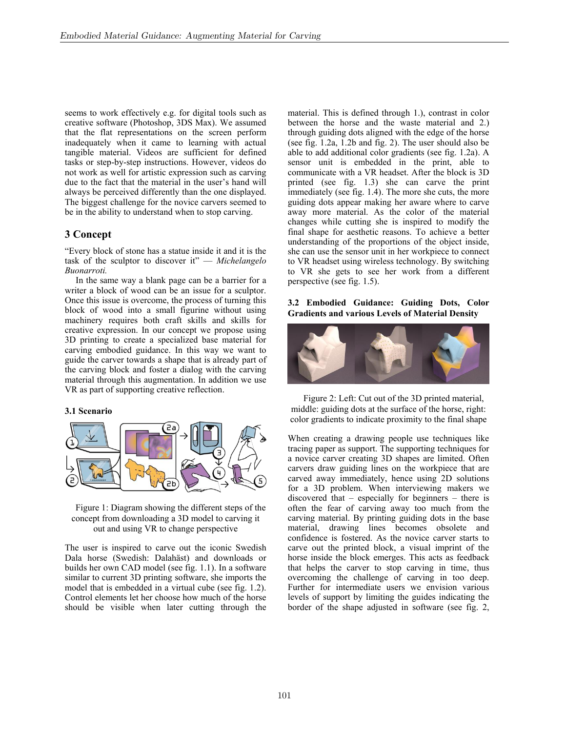seems to work effectively e.g. for digital tools such as creative software (Photoshop, 3DS Max). We assumed that the flat representations on the screen perform inadequately when it came to learning with actual tangible material. Videos are sufficient for defined tasks or step-by-step instructions. However, videos do not work as well for artistic expression such as carving due to the fact that the material in the user's hand will always be perceived differently than the one displayed. The biggest challenge for the novice carvers seemed to be in the ability to understand when to stop carving.

## **3 Concept**

"Every block of stone has a statue inside it and it is the task of the sculptor to discover it" — *Michelangelo Buonarroti.*

In the same way a blank page can be a barrier for a writer a block of wood can be an issue for a sculptor. Once this issue is overcome, the process of turning this block of wood into a small figurine without using machinery requires both craft skills and skills for creative expression. In our concept we propose using 3D printing to create a specialized base material for carving embodied guidance. In this way we want to guide the carver towards a shape that is already part of the carving block and foster a dialog with the carving material through this augmentation. In addition we use VR as part of supporting creative reflection.

#### **3.1 Scenario**



Figure 1: Diagram showing the different steps of the concept from downloading a 3D model to carving it out and using VR to change perspective

The user is inspired to carve out the iconic Swedish Dala horse (Swedish: Dalahäst) and downloads or builds her own CAD model (see fig. 1.1). In a software similar to current 3D printing software, she imports the model that is embedded in a virtual cube (see fig. 1.2). Control elements let her choose how much of the horse should be visible when later cutting through the material. This is defined through 1.), contrast in color between the horse and the waste material and 2.) through guiding dots aligned with the edge of the horse (see fig. 1.2a, 1.2b and fig. 2). The user should also be able to add additional color gradients (see fig. 1.2a). A sensor unit is embedded in the print, able to communicate with a VR headset. After the block is 3D printed (see fig. 1.3) she can carve the print immediately (see fig. 1.4). The more she cuts, the more guiding dots appear making her aware where to carve away more material. As the color of the material changes while cutting she is inspired to modify the final shape for aesthetic reasons. To achieve a better understanding of the proportions of the object inside, she can use the sensor unit in her workpiece to connect to VR headset using wireless technology. By switching to VR she gets to see her work from a different perspective (see fig. 1.5).

#### **3.2 Embodied Guidance: Guiding Dots, Color Gradients and various Levels of Material Density**



Figure 2: Left: Cut out of the 3D printed material, middle: guiding dots at the surface of the horse, right: color gradients to indicate proximity to the final shape

When creating a drawing people use techniques like tracing paper as support. The supporting techniques for a novice carver creating 3D shapes are limited. Often carvers draw guiding lines on the workpiece that are carved away immediately, hence using 2D solutions for a 3D problem. When interviewing makers we discovered that – especially for beginners – there is often the fear of carving away too much from the carving material. By printing guiding dots in the base material, drawing lines becomes obsolete and confidence is fostered. As the novice carver starts to carve out the printed block, a visual imprint of the horse inside the block emerges. This acts as feedback that helps the carver to stop carving in time, thus overcoming the challenge of carving in too deep. Further for intermediate users we envision various levels of support by limiting the guides indicating the border of the shape adjusted in software (see fig. 2,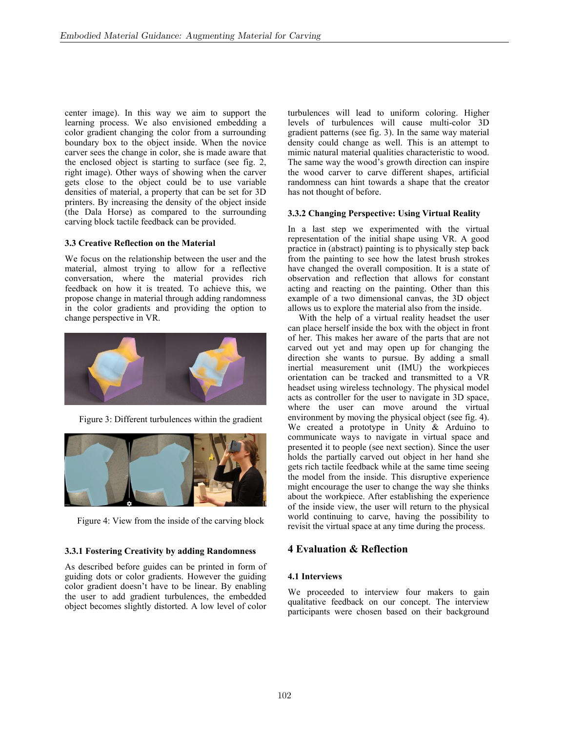center image). In this way we aim to support the learning process. We also envisioned embedding a color gradient changing the color from a surrounding boundary box to the object inside. When the novice carver sees the change in color, she is made aware that the enclosed object is starting to surface (see fig. 2, right image). Other ways of showing when the carver gets close to the object could be to use variable densities of material, a property that can be set for 3D printers. By increasing the density of the object inside (the Dala Horse) as compared to the surrounding carving block tactile feedback can be provided.

### **3.3 Creative Reflection on the Material**

We focus on the relationship between the user and the material, almost trying to allow for a reflective conversation, where the material provides rich feedback on how it is treated. To achieve this, we propose change in material through adding randomness in the color gradients and providing the option to change perspective in VR.



Figure 3: Different turbulences within the gradient



Figure 4: View from the inside of the carving block

# **3.3.1 Fostering Creativity by adding Randomness**

As described before guides can be printed in form of guiding dots or color gradients. However the guiding color gradient doesn't have to be linear. By enabling the user to add gradient turbulences, the embedded object becomes slightly distorted. A low level of color turbulences will lead to uniform coloring. Higher levels of turbulences will cause multi-color 3D gradient patterns (see fig. 3). In the same way material density could change as well. This is an attempt to mimic natural material qualities characteristic to wood. The same way the wood's growth direction can inspire the wood carver to carve different shapes, artificial randomness can hint towards a shape that the creator has not thought of before.

## **3.3.2 Changing Perspective: Using Virtual Reality**

In a last step we experimented with the virtual representation of the initial shape using VR. A good practice in (abstract) painting is to physically step back from the painting to see how the latest brush strokes have changed the overall composition. It is a state of observation and reflection that allows for constant acting and reacting on the painting. Other than this example of a two dimensional canvas, the 3D object allows us to explore the material also from the inside.

With the help of a virtual reality headset the user can place herself inside the box with the object in front of her. This makes her aware of the parts that are not carved out yet and may open up for changing the direction she wants to pursue. By adding a small inertial measurement unit (IMU) the workpieces orientation can be tracked and transmitted to a VR headset using wireless technology. The physical model acts as controller for the user to navigate in 3D space, where the user can move around the virtual environment by moving the physical object (see fig. 4). We created a prototype in Unity & Arduino to communicate ways to navigate in virtual space and presented it to people (see next section). Since the user holds the partially carved out object in her hand she gets rich tactile feedback while at the same time seeing the model from the inside. This disruptive experience might encourage the user to change the way she thinks about the workpiece. After establishing the experience of the inside view, the user will return to the physical world continuing to carve, having the possibility to revisit the virtual space at any time during the process.

# **4 Evaluation & Reflection**

# **4.1 Interviews**

We proceeded to interview four makers to gain qualitative feedback on our concept. The interview participants were chosen based on their background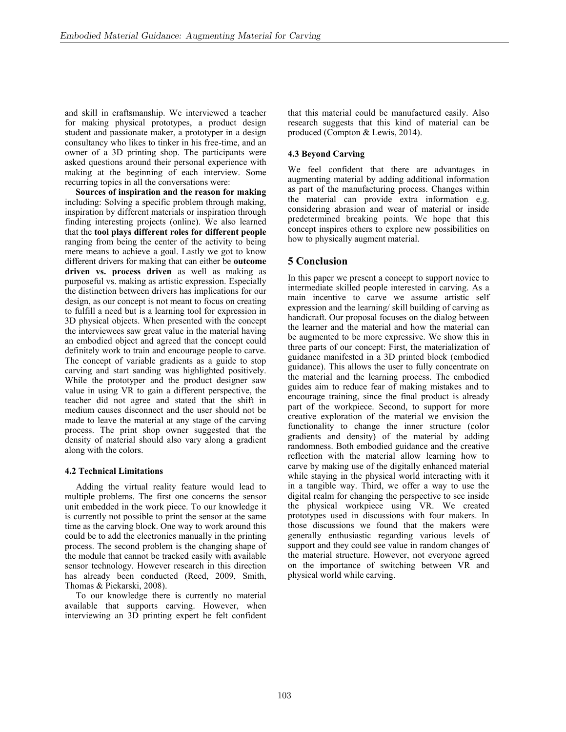and skill in craftsmanship. We interviewed a teacher for making physical prototypes, a product design student and passionate maker, a prototyper in a design consultancy who likes to tinker in his free-time, and an owner of a 3D printing shop. The participants were asked questions around their personal experience with making at the beginning of each interview. Some recurring topics in all the conversations were:

**Sources of inspiration and the reason for making** including: Solving a specific problem through making, inspiration by different materials or inspiration through finding interesting projects (online). We also learned that the **tool plays different roles for different people** ranging from being the center of the activity to being mere means to achieve a goal. Lastly we got to know different drivers for making that can either be **outcome driven vs. process driven** as well as making as purposeful vs. making as artistic expression. Especially the distinction between drivers has implications for our design, as our concept is not meant to focus on creating to fulfill a need but is a learning tool for expression in 3D physical objects. When presented with the concept the interviewees saw great value in the material having an embodied object and agreed that the concept could definitely work to train and encourage people to carve. The concept of variable gradients as a guide to stop carving and start sanding was highlighted positively. While the prototyper and the product designer saw value in using VR to gain a different perspective, the teacher did not agree and stated that the shift in medium causes disconnect and the user should not be made to leave the material at any stage of the carving process. The print shop owner suggested that the density of material should also vary along a gradient along with the colors.

#### **4.2 Technical Limitations**

Adding the virtual reality feature would lead to multiple problems. The first one concerns the sensor unit embedded in the work piece. To our knowledge it is currently not possible to print the sensor at the same time as the carving block. One way to work around this could be to add the electronics manually in the printing process. The second problem is the changing shape of the module that cannot be tracked easily with available sensor technology. However research in this direction has already been conducted (Reed, 2009, Smith, Thomas & Piekarski, 2008).

To our knowledge there is currently no material available that supports carving. However, when interviewing an 3D printing expert he felt confident

that this material could be manufactured easily. Also research suggests that this kind of material can be produced (Compton & Lewis, 2014).

#### **4.3 Beyond Carving**

We feel confident that there are advantages in augmenting material by adding additional information as part of the manufacturing process. Changes within the material can provide extra information e.g. considering abrasion and wear of material or inside predetermined breaking points. We hope that this concept inspires others to explore new possibilities on how to physically augment material.

### **5 Conclusion**

In this paper we present a concept to support novice to intermediate skilled people interested in carving. As a main incentive to carve we assume artistic self expression and the learning/ skill building of carving as handicraft. Our proposal focuses on the dialog between the learner and the material and how the material can be augmented to be more expressive. We show this in three parts of our concept: First, the materialization of guidance manifested in a 3D printed block (embodied guidance). This allows the user to fully concentrate on the material and the learning process. The embodied guides aim to reduce fear of making mistakes and to encourage training, since the final product is already part of the workpiece. Second, to support for more creative exploration of the material we envision the functionality to change the inner structure (color gradients and density) of the material by adding randomness. Both embodied guidance and the creative reflection with the material allow learning how to carve by making use of the digitally enhanced material while staying in the physical world interacting with it in a tangible way. Third, we offer a way to use the digital realm for changing the perspective to see inside the physical workpiece using VR. We created prototypes used in discussions with four makers. In those discussions we found that the makers were generally enthusiastic regarding various levels of support and they could see value in random changes of the material structure. However, not everyone agreed on the importance of switching between VR and physical world while carving.